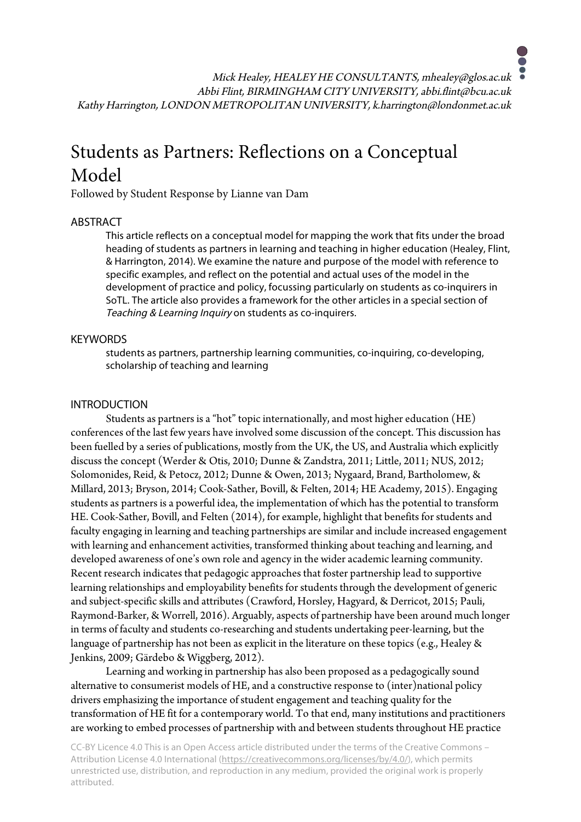Mick Healey, HEALEY HE CONSULTANTS, mhealey@glos.ac.uk Abbi Flint, BIRMINGHAM CITY UNIVERSITY, abbi.flint@bcu.ac.uk Kathy Harrington, LONDON METROPOLITAN UNIVERSITY, k.harrington@londonmet.ac.uk

# Students as Partners: Reflections on a Conceptual Model

Followed by Student Response by Lianne van Dam

# ABSTRACT

This article reflects on a conceptual model for mapping the work that fits under the broad heading of students as partners in learning and teaching in higher education (Healey, Flint, & Harrington, 2014). We examine the nature and purpose of the model with reference to specific examples, and reflect on the potential and actual uses of the model in the development of practice and policy, focussing particularly on students as co-inquirers in SoTL. The article also provides a framework for the other articles in a special section of Teaching & Learning Inquiry on students as co-inquirers.

## **KEYWORDS**

students as partners, partnership learning communities, co-inquiring, co-developing, scholarship of teaching and learning

# INTRODUCTION

Students as partners is a "hot" topic internationally, and most higher education (HE) conferences of the last few years have involved some discussion of the concept. This discussion has been fuelled by a series of publications, mostly from the UK, the US, and Australia which explicitly discuss the concept (Werder & Otis, 2010; Dunne & Zandstra, 2011; Little, 2011; NUS, 2012; Solomonides, Reid, & Petocz, 2012; Dunne & Owen, 2013; Nygaard, Brand, Bartholomew, & Millard, 2013; Bryson, 2014; Cook-Sather, Bovill, & Felten, 2014; HE Academy, 2015). Engaging students as partners is a powerful idea, the implementation of which has the potential to transform HE. Cook-Sather, Bovill, and Felten (2014), for example, highlight that benefits for students and faculty engaging in learning and teaching partnerships are similar and include increased engagement with learning and enhancement activities, transformed thinking about teaching and learning, and developed awareness of one's own role and agency in the wider academic learning community. Recent research indicates that pedagogic approaches that foster partnership lead to supportive learning relationships and employability benefits for students through the development of generic and subject-specific skills and attributes (Crawford, Horsley, Hagyard, & Derricot, 2015; Pauli, Raymond-Barker, & Worrell, 2016). Arguably, aspects of partnership have been around much longer in terms of faculty and students co-researching and students undertaking peer-learning, but the language of partnership has not been as explicit in the literature on these topics (e.g., Healey & Jenkins, 2009; Gärdebo & Wiggberg, 2012).

Learning and working in partnership has also been proposed as a pedagogically sound alternative to consumerist models of HE, and a constructive response to (inter)national policy drivers emphasizing the importance of student engagement and teaching quality for the transformation of HE fit for a contemporary world. To that end, many institutions and practitioners are working to embed processes of partnership with and between students throughout HE practice

CC-BY Licence 4.0 This is an Open Access article distributed under the terms of the Creative Commons – Attribution License 4.0 International (https://creativecommons.org/licenses/by/4.0/), which permits unrestricted use, distribution, and reproduction in any medium, provided the original work is properly attributed.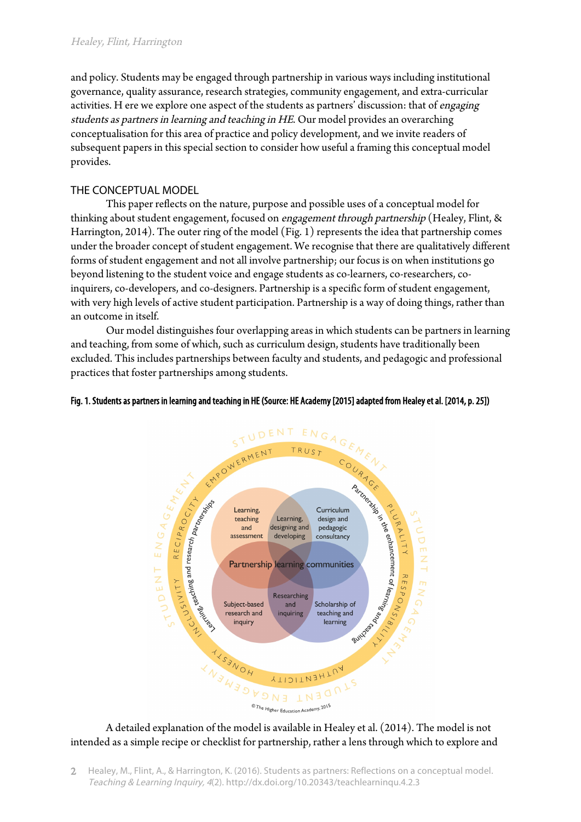and policy. Students may be engaged through partnership in various ways including institutional governance, quality assurance, research strategies, community engagement, and extra-curricular activities. H ere we explore one aspect of the students as partners' discussion: that of engaging students as partners in learning and teaching in HE. Our model provides an overarching conceptualisation for this area of practice and policy development, and we invite readers of subsequent papers in this special section to consider how useful a framing this conceptual model provides.

# THE CONCEPTUAL MODEL

This paper reflects on the nature, purpose and possible uses of a conceptual model for thinking about student engagement, focused on engagement through partnership (Healey, Flint, & Harrington, 2014). The outer ring of the model (Fig. 1) represents the idea that partnership comes under the broader concept of student engagement. We recognise that there are qualitatively different forms of student engagement and not all involve partnership; our focus is on when institutions go beyond listening to the student voice and engage students as co-learners, co-researchers, coinquirers, co-developers, and co-designers. Partnership is a specific form of student engagement, with very high levels of active student participation. Partnership is a way of doing things, rather than an outcome in itself.

Our model distinguishes four overlapping areas in which students can be partners in learning and teaching, from some of which, such as curriculum design, students have traditionally been excluded. This includes partnerships between faculty and students, and pedagogic and professional practices that foster partnerships among students.

## Fig. 1. Students as partners in learning and teaching in HE (Source: HE Academy [2015] adapted from Healey et al. [2014, p. 25])



intended as a simple recipe or checklist for partnership, rather a lens through which to explore and

Healey, M., Flint, A., & Harrington, K. (2016). Students as partners: Reflections on a conceptual model. Teaching & Learning Inquiry, 4(2). http://dx.doi.org/10.20343/teachlearninqu.4.2.3  $\mathcal{L}$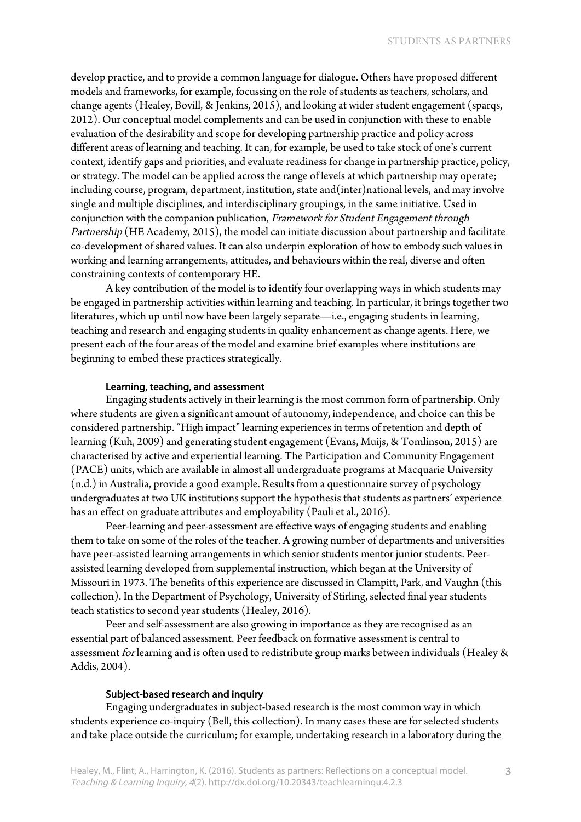develop practice, and to provide a common language for dialogue. Others have proposed different models and frameworks, for example, focussing on the role of students as teachers, scholars, and change agents (Healey, Bovill, & Jenkins, 2015), and looking at wider student engagement (sparqs, 2012). Our conceptual model complements and can be used in conjunction with these to enable evaluation of the desirability and scope for developing partnership practice and policy across different areas of learning and teaching. It can, for example, be used to take stock of one's current context, identify gaps and priorities, and evaluate readiness for change in partnership practice, policy, or strategy. The model can be applied across the range of levels at which partnership may operate; including course, program, department, institution, state and(inter)national levels, and may involve single and multiple disciplines, and interdisciplinary groupings, in the same initiative. Used in conjunction with the companion publication, Framework for Student Engagement through Partnership (HE Academy, 2015), the model can initiate discussion about partnership and facilitate co-development of shared values. It can also underpin exploration of how to embody such values in working and learning arrangements, attitudes, and behaviours within the real, diverse and often constraining contexts of contemporary HE.

A key contribution of the model is to identify four overlapping ways in which students may be engaged in partnership activities within learning and teaching. In particular, it brings together two literatures, which up until now have been largely separate—i.e., engaging students in learning, teaching and research and engaging students in quality enhancement as change agents. Here, we present each of the four areas of the model and examine brief examples where institutions are beginning to embed these practices strategically.

#### Learning, teaching, and assessment

Engaging students actively in their learning is the most common form of partnership. Only where students are given a significant amount of autonomy, independence, and choice can this be considered partnership. "High impact" learning experiences in terms of retention and depth of learning (Kuh, 2009) and generating student engagement (Evans, Muijs, & Tomlinson, 2015) are characterised by active and experiential learning. The Participation and Community Engagement (PACE) units, which are available in almost all undergraduate programs at Macquarie University (n.d.) in Australia, provide a good example. Results from a questionnaire survey of psychology undergraduates at two UK institutions support the hypothesis that students as partners' experience has an effect on graduate attributes and employability (Pauli et al., 2016).

Peer-learning and peer-assessment are effective ways of engaging students and enabling them to take on some of the roles of the teacher. A growing number of departments and universities have peer-assisted learning arrangements in which senior students mentor junior students. Peerassisted learning developed from supplemental instruction, which began at the University of Missouri in 1973. The benefits of this experience are discussed in Clampitt, Park, and Vaughn (this collection). In the Department of Psychology, University of Stirling, selected final year students teach statistics to second year students (Healey, 2016).

Peer and self-assessment are also growing in importance as they are recognised as an essential part of balanced assessment. Peer feedback on formative assessment is central to assessment for learning and is often used to redistribute group marks between individuals (Healey & Addis, 2004).

#### Subject-based research and inquiry

Engaging undergraduates in subject-based research is the most common way in which students experience co-inquiry (Bell, this collection). In many cases these are for selected students and take place outside the curriculum; for example, undertaking research in a laboratory during the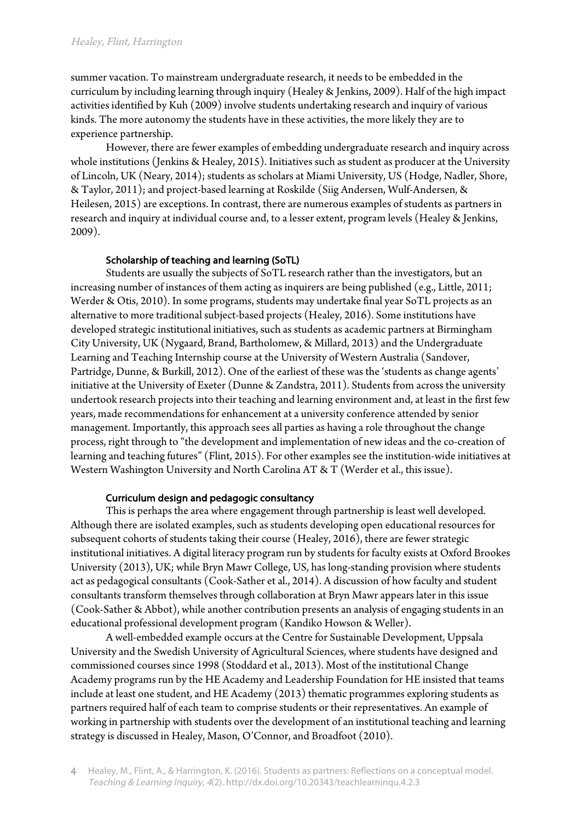#### Healey, Flint, Harrington

summer vacation. To mainstream undergraduate research, it needs to be embedded in the curriculum by including learning through inquiry (Healey & Jenkins, 2009). Half of the high impact activities identified by Kuh (2009) involve students undertaking research and inquiry of various kinds. The more autonomy the students have in these activities, the more likely they are to experience partnership.

However, there are fewer examples of embedding undergraduate research and inquiry across whole institutions (Jenkins & Healey, 2015). Initiatives such as student as producer at the University of Lincoln, UK (Neary, 2014); students as scholars at Miami University, US (Hodge, Nadler, Shore, & Taylor, 2011); and project-based learning at Roskilde (Siig Andersen, Wulf-Andersen, & Heilesen, 2015) are exceptions. In contrast, there are numerous examples of students as partners in research and inquiry at individual course and, to a lesser extent, program levels (Healey & Jenkins, 2009).

## Scholarship of teaching and learning (SoTL)

Students are usually the subjects of SoTL research rather than the investigators, but an increasing number of instances of them acting as inquirers are being published (e.g., Little, 2011; Werder & Otis, 2010). In some programs, students may undertake final year SoTL projects as an alternative to more traditional subject-based projects (Healey, 2016). Some institutions have developed strategic institutional initiatives, such as students as academic partners at Birmingham City University, UK (Nygaard, Brand, Bartholomew, & Millard, 2013) and the Undergraduate Learning and Teaching Internship course at the University of Western Australia (Sandover, Partridge, Dunne, & Burkill, 2012). One of the earliest of these was the 'students as change agents' initiative at the University of Exeter (Dunne & Zandstra, 2011). Students from across the university undertook research projects into their teaching and learning environment and, at least in the first few years, made recommendations for enhancement at a university conference attended by senior management. Importantly, this approach sees all parties as having a role throughout the change process, right through to "the development and implementation of new ideas and the co-creation of learning and teaching futures" (Flint, 2015). For other examples see the institution-wide initiatives at Western Washington University and North Carolina AT & T (Werder et al., this issue).

## Curriculum design and pedagogic consultancy

This is perhaps the area where engagement through partnership is least well developed. Although there are isolated examples, such as students developing open educational resources for subsequent cohorts of students taking their course (Healey, 2016), there are fewer strategic institutional initiatives. A digital literacy program run by students for faculty exists at Oxford Brookes University (2013), UK; while Bryn Mawr College, US, has long-standing provision where students act as pedagogical consultants (Cook-Sather et al., 2014). A discussion of how faculty and student consultants transform themselves through collaboration at Bryn Mawr appears later in this issue (Cook-Sather & Abbot), while another contribution presents an analysis of engaging students in an educational professional development program (Kandiko Howson & Weller).

A well-embedded example occurs at the Centre for Sustainable Development, Uppsala University and the Swedish University of Agricultural Sciences, where students have designed and commissioned courses since 1998 (Stoddard et al., 2013). Most of the institutional Change Academy programs run by the HE Academy and Leadership Foundation for HE insisted that teams include at least one student, and HE Academy (2013) thematic programmes exploring students as partners required half of each team to comprise students or their representatives. An example of working in partnership with students over the development of an institutional teaching and learning strategy is discussed in Healey, Mason, O'Connor, and Broadfoot (2010).

<sup>4</sup> Healey, M., Flint, A., & Harrington, K. (2016). Students as partners: Reflections on a conceptual model. Teaching & Learning Inquiry, 4(2). http://dx.doi.org/10.20343/teachlearninqu.4.2.3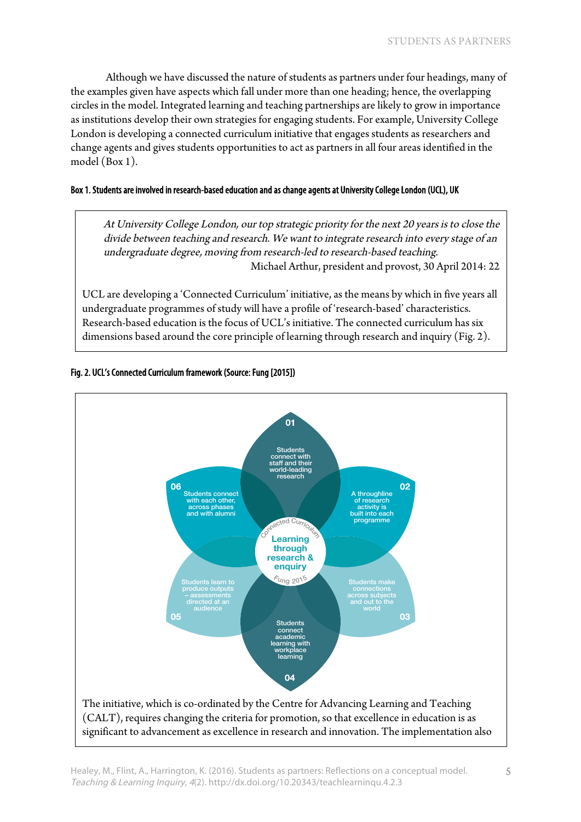Although we have discussed the nature of students as partners under four headings, many of the examples given have aspects which fall under more than one heading; hence, the overlapping circles in the model. Integrated learning and teaching partnerships are likely to grow in importance as institutions develop their own strategies for engaging students. For example, University College London is developing a connected curriculum initiative that engages students as researchers and change agents and gives students opportunities to act as partners in all four areas identified in the model (Box 1).

## Box 1. Students are involved in research-based education and as change agents at University College London (UCL), UK

At University College London, our top strategic priority for the next 20 years is to close the divide between teaching and research. We want to integrate research into every stage of an undergraduate degree, moving from research-led to research-based teaching. Michael Arthur, president and provost, 30 April 2014: 22

UCL are developing a 'Connected Curriculum' initiative, as the means by which in five years all undergraduate programmes of study will have a profile of 'research-based' characteristics. Research-based education is the focus of UCL's initiative. The connected curriculum has six dimensions based around the core principle of learning through research and inquiry (Fig. 2).



#### Fig. 2. UCL's Connected Curriculum framework (Source: Fung [2015])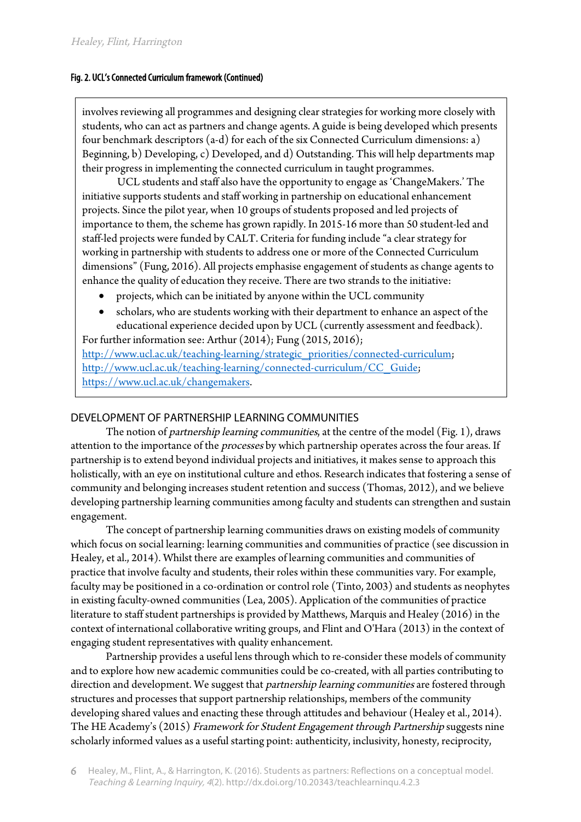## Fig. 2. UCL's Connected Curriculum framework (Continued)

involves reviewing all programmes and designing clear strategies for working more closely with students, who can act as partners and change agents. A guide is being developed which presents four benchmark descriptors (a-d) for each of the six Connected Curriculum dimensions: a) Beginning, b) Developing, c) Developed, and d) Outstanding. This will help departments map their progress in implementing the connected curriculum in taught programmes.

UCL students and staff also have the opportunity to engage as 'ChangeMakers.' The initiative supports students and staff working in partnership on educational enhancement projects. Since the pilot year, when 10 groups of students proposed and led projects of importance to them, the scheme has grown rapidly. In 2015-16 more than 50 student-led and staff-led projects were funded by CALT. Criteria for funding include "a clear strategy for working in partnership with students to address one or more of the Connected Curriculum dimensions" (Fung, 2016). All projects emphasise engagement of students as change agents to enhance the quality of education they receive. There are two strands to the initiative:

- projects, which can be initiated by anyone within the UCL community
- scholars, who are students working with their department to enhance an aspect of the educational experience decided upon by UCL (currently assessment and feedback).

For further information see: Arthur (2014); Fung (2015, 2016); http://www.ucl.ac.uk/teaching-learning/strategic\_priorities/connected-curriculum; http://www.ucl.ac.uk/teaching-learning/connected-curriculum/CC\_Guide; https://www.ucl.ac.uk/changemakers.

# DEVELOPMENT OF PARTNERSHIP LEARNING COMMUNITIES

The notion of *partnership learning communities*, at the centre of the model (Fig. 1), draws attention to the importance of the *processes* by which partnership operates across the four areas. If partnership is to extend beyond individual projects and initiatives, it makes sense to approach this holistically, with an eye on institutional culture and ethos. Research indicates that fostering a sense of community and belonging increases student retention and success (Thomas, 2012), and we believe developing partnership learning communities among faculty and students can strengthen and sustain engagement.

The concept of partnership learning communities draws on existing models of community which focus on social learning: learning communities and communities of practice (see discussion in Healey, et al., 2014). Whilst there are examples of learning communities and communities of practice that involve faculty and students, their roles within these communities vary. For example, faculty may be positioned in a co-ordination or control role (Tinto, 2003) and students as neophytes in existing faculty-owned communities (Lea, 2005). Application of the communities of practice literature to staff student partnerships is provided by Matthews, Marquis and Healey (2016) in the context of international collaborative writing groups, and Flint and O'Hara (2013) in the context of engaging student representatives with quality enhancement.

Partnership provides a useful lens through which to re-consider these models of community and to explore how new academic communities could be co-created, with all parties contributing to direction and development. We suggest that *partnership learning communities* are fostered through structures and processes that support partnership relationships, members of the community developing shared values and enacting these through attitudes and behaviour (Healey et al., 2014). The HE Academy's (2015) Framework for Student Engagement through Partnership suggests nine scholarly informed values as a useful starting point: authenticity, inclusivity, honesty, reciprocity,

Healey, M., Flint, A., & Harrington, K. (2016). Students as partners: Reflections on a conceptual model. Teaching & Learning Inquiry, 4(2). http://dx.doi.org/10.20343/teachlearninqu.4.2.3 6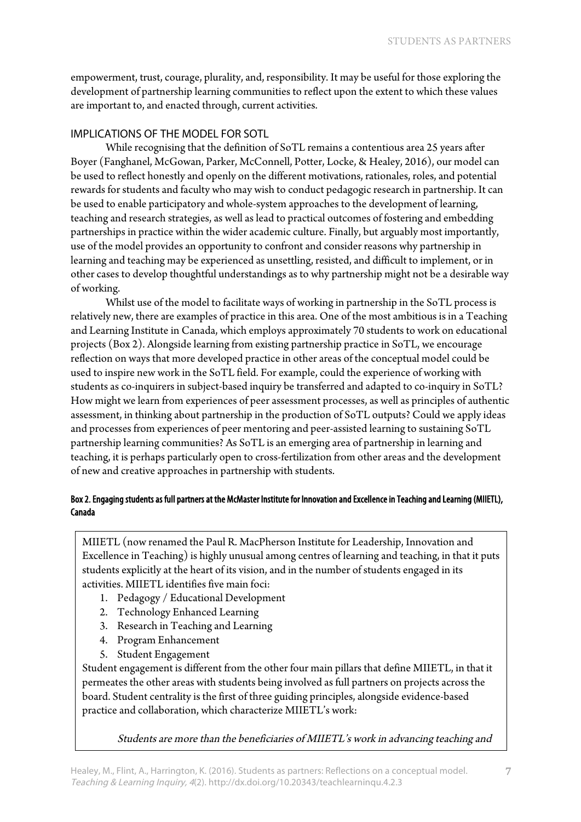empowerment, trust, courage, plurality, and, responsibility. It may be useful for those exploring the development of partnership learning communities to reflect upon the extent to which these values are important to, and enacted through, current activities.

# IMPLICATIONS OF THE MODEL FOR SOTL

While recognising that the definition of SoTL remains a contentious area 25 years after Boyer (Fanghanel, McGowan, Parker, McConnell, Potter, Locke, & Healey, 2016), our model can be used to reflect honestly and openly on the different motivations, rationales, roles, and potential rewards for students and faculty who may wish to conduct pedagogic research in partnership. It can be used to enable participatory and whole-system approaches to the development of learning, teaching and research strategies, as well as lead to practical outcomes of fostering and embedding partnerships in practice within the wider academic culture. Finally, but arguably most importantly, use of the model provides an opportunity to confront and consider reasons why partnership in learning and teaching may be experienced as unsettling, resisted, and difficult to implement, or in other cases to develop thoughtful understandings as to why partnership might not be a desirable way of working.

Whilst use of the model to facilitate ways of working in partnership in the SoTL process is relatively new, there are examples of practice in this area. One of the most ambitious is in a Teaching and Learning Institute in Canada, which employs approximately 70 students to work on educational projects (Box 2). Alongside learning from existing partnership practice in SoTL, we encourage reflection on ways that more developed practice in other areas of the conceptual model could be used to inspire new work in the SoTL field. For example, could the experience of working with students as co-inquirers in subject-based inquiry be transferred and adapted to co-inquiry in SoTL? How might we learn from experiences of peer assessment processes, as well as principles of authentic assessment, in thinking about partnership in the production of SoTL outputs? Could we apply ideas and processes from experiences of peer mentoring and peer-assisted learning to sustaining SoTL partnership learning communities? As SoTL is an emerging area of partnership in learning and teaching, it is perhaps particularly open to cross-fertilization from other areas and the development of new and creative approaches in partnership with students.

## Box 2. Engaging students as full partners at the McMaster Institute for Innovation and Excellence in Teaching and Learning (MIIETL), Canada

MIIETL (now renamed the Paul R. MacPherson Institute for Leadership, Innovation and Excellence in Teaching) is highly unusual among centres of learning and teaching, in that it puts students explicitly at the heart of its vision, and in the number of students engaged in its activities. MIIETL identifies five main foci:

- 1. Pedagogy / Educational Development
- 2. Technology Enhanced Learning
- 3. Research in Teaching and Learning
- 4. Program Enhancement
- 5. Student Engagement

Student engagement is different from the other four main pillars that define MIIETL, in that it permeates the other areas with students being involved as full partners on projects across the board. Student centrality is the first of three guiding principles, alongside evidence-based practice and collaboration, which characterize MIIETL's work:

Students are more than the beneficiaries of MIIETL's work in advancing teaching and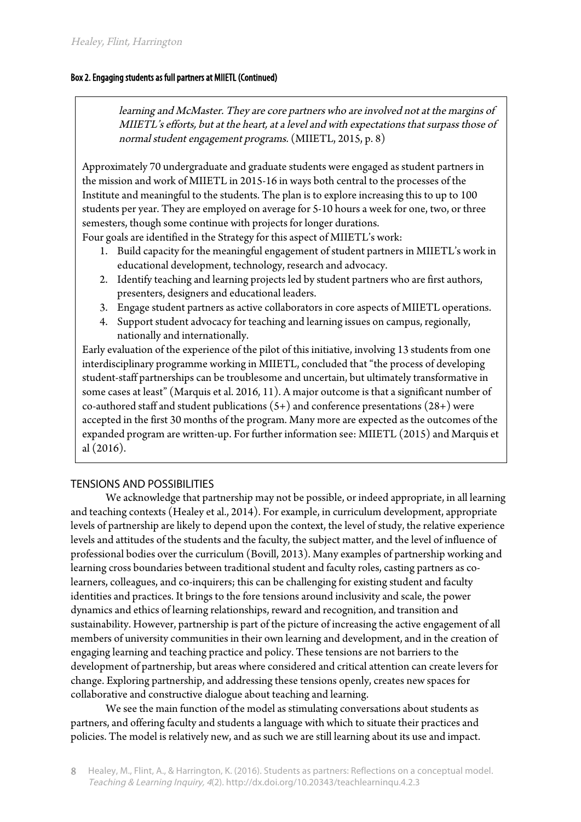## Box 2. Engaging students as full partners at MIIETL (Continued)

learning and McMaster. They are core partners who are involved not at the margins of MIIETL's efforts, but at the heart, at a level and with expectations that surpass those of normal student engagement programs. (MIIETL, 2015, p. 8)

Approximately 70 undergraduate and graduate students were engaged as student partners in the mission and work of MIIETL in 2015-16 in ways both central to the processes of the Institute and meaningful to the students. The plan is to explore increasing this to up to 100 students per year. They are employed on average for 5-10 hours a week for one, two, or three semesters, though some continue with projects for longer durations.

Four goals are identified in the Strategy for this aspect of MIIETL's work:

- 1. Build capacity for the meaningful engagement of student partners in MIIETL's work in educational development, technology, research and advocacy.
- 2. Identify teaching and learning projects led by student partners who are first authors, presenters, designers and educational leaders.
- 3. Engage student partners as active collaborators in core aspects of MIIETL operations.
- 4. Support student advocacy for teaching and learning issues on campus, regionally, nationally and internationally.

Early evaluation of the experience of the pilot of this initiative, involving 13 students from one interdisciplinary programme working in MIIETL, concluded that "the process of developing student-staff partnerships can be troublesome and uncertain, but ultimately transformative in some cases at least" (Marquis et al. 2016, 11). A major outcome is that a significant number of co-authored staff and student publications  $(5+)$  and conference presentations  $(28+)$  were accepted in the first 30 months of the program. Many more are expected as the outcomes of the expanded program are written-up. For further information see: MIIETL (2015) and Marquis et al (2016).

## TENSIONS AND POSSIBILITIES

We acknowledge that partnership may not be possible, or indeed appropriate, in all learning and teaching contexts (Healey et al., 2014). For example, in curriculum development, appropriate levels of partnership are likely to depend upon the context, the level of study, the relative experience levels and attitudes of the students and the faculty, the subject matter, and the level of influence of professional bodies over the curriculum (Bovill, 2013). Many examples of partnership working and learning cross boundaries between traditional student and faculty roles, casting partners as colearners, colleagues, and co-inquirers; this can be challenging for existing student and faculty identities and practices. It brings to the fore tensions around inclusivity and scale, the power dynamics and ethics of learning relationships, reward and recognition, and transition and sustainability. However, partnership is part of the picture of increasing the active engagement of all members of university communities in their own learning and development, and in the creation of engaging learning and teaching practice and policy. These tensions are not barriers to the development of partnership, but areas where considered and critical attention can create levers for change. Exploring partnership, and addressing these tensions openly, creates new spaces for collaborative and constructive dialogue about teaching and learning.

We see the main function of the model as stimulating conversations about students as partners, and offering faculty and students a language with which to situate their practices and policies. The model is relatively new, and as such we are still learning about its use and impact.

Healey, M., Flint, A., & Harrington, K. (2016). Students as partners: Reflections on a conceptual model. Teaching & Learning Inquiry, 4(2). http://dx.doi.org/10.20343/teachlearninqu.4.2.3 8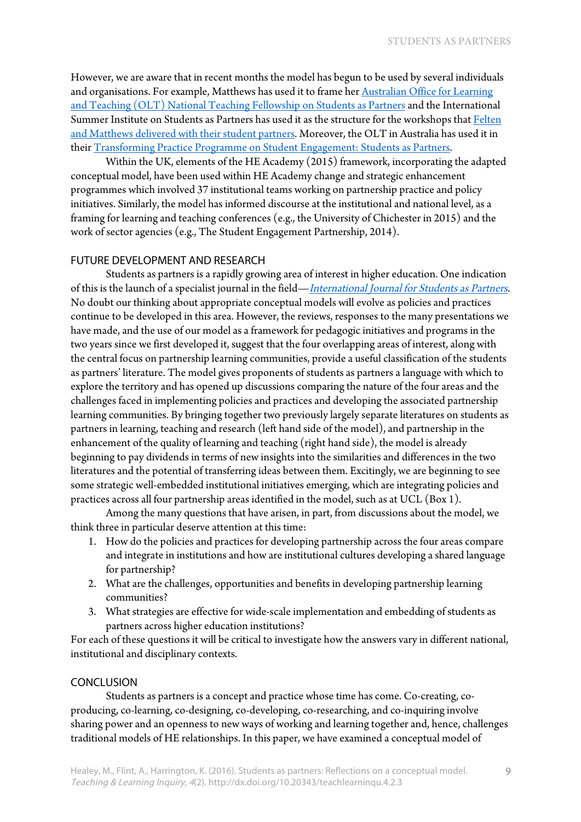However, we are aware that in recent months the model has begun to be used by several individuals and organisations. [For example, Matthews has used it to frame her Australian Office for Learning](http://itali.uq.edu.au/matthews-studentsaspartners) and Teaching (OLT) National Teaching Fellowship on Students as Partners and the International [Summer Institute on Students as Partners has used it as the structure for the workshops that Felten](https://macblog.mcmaster.ca/summer-institute/)  and Matthews delivered with their student partners. Moreover, the OLT in Australia has used it in their [Transforming Practice Programme on Student Engagement: Students as Partners.](https://itali.uq.edu.au/content/transforming-practice-program)

Within the UK, elements of the HE Academy (2015) framework, incorporating the adapted conceptual model, have been used within HE Academy change and strategic enhancement programmes which involved 37 institutional teams working on partnership practice and policy initiatives. Similarly, the model has informed discourse at the institutional and national level, as a framing for learning and teaching conferences (e.g., the University of Chichester in 2015) and the work of sector agencies (e.g., The Student Engagement Partnership, 2014).

## FUTURE DEVELOPMENT AND RESEARCH

Students as partners is a rapidly growing area of interest in higher education. One indication of this is the launch of a specialist journal in the field—[International Journal for Students as Partners](https://mulpress.mcmaster.ca/ijsap). No doubt our thinking about appropriate conceptual models will evolve as policies and practices continue to be developed in this area. However, the reviews, responses to the many presentations we have made, and the use of our model as a framework for pedagogic initiatives and programs in the two years since we first developed it, suggest that the four overlapping areas of interest, along with the central focus on partnership learning communities, provide a useful classification of the students as partners' literature. The model gives proponents of students as partners a language with which to explore the territory and has opened up discussions comparing the nature of the four areas and the challenges faced in implementing policies and practices and developing the associated partnership learning communities. By bringing together two previously largely separate literatures on students as partners in learning, teaching and research (left hand side of the model), and partnership in the enhancement of the quality of learning and teaching (right hand side), the model is already beginning to pay dividends in terms of new insights into the similarities and differences in the two literatures and the potential of transferring ideas between them. Excitingly, we are beginning to see some strategic well-embedded institutional initiatives emerging, which are integrating policies and practices across all four partnership areas identified in the model, such as at UCL (Box 1).

Among the many questions that have arisen, in part, from discussions about the model, we think three in particular deserve attention at this time:

- 1. How do the policies and practices for developing partnership across the four areas compare and integrate in institutions and how are institutional cultures developing a shared language for partnership?
- 2. What are the challenges, opportunities and benefits in developing partnership learning communities?
- 3. What strategies are effective for wide-scale implementation and embedding of students as partners across higher education institutions?

For each of these questions it will be critical to investigate how the answers vary in different national, institutional and disciplinary contexts.

### CONCLUSION

Students as partners is a concept and practice whose time has come. Co-creating, coproducing, co-learning, co-designing, co-developing, co-researching, and co-inquiring involve sharing power and an openness to new ways of working and learning together and, hence, challenges traditional models of HE relationships. In this paper, we have examined a conceptual model of

9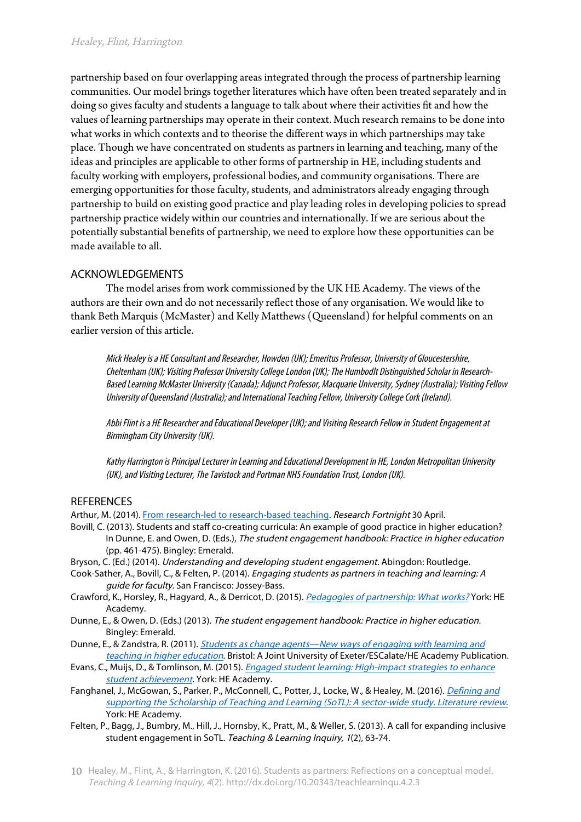partnership based on four overlapping areas integrated through the process of partnership learning communities. Our model brings together literatures which have often been treated separately and in doing so gives faculty and students a language to talk about where their activities fit and how the values of learning partnerships may operate in their context. Much research remains to be done into what works in which contexts and to theorise the different ways in which partnerships may take place. Though we have concentrated on students as partners in learning and teaching, many of the ideas and principles are applicable to other forms of partnership in HE, including students and faculty working with employers, professional bodies, and community organisations. There are emerging opportunities for those faculty, students, and administrators already engaging through partnership to build on existing good practice and play leading roles in developing policies to spread partnership practice widely within our countries and internationally. If we are serious about the potentially substantial benefits of partnership, we need to explore how these opportunities can be made available to all.

# ACKNOWLEDGEMENTS

The model arises from work commissioned by the UK HE Academy. The views of the authors are their own and do not necessarily reflect those of any organisation. We would like to thank Beth Marquis (McMaster) and Kelly Matthews (Queensland) for helpful comments on an earlier version of this article.

Mick Healey is a HEConsultant and Researcher, Howden (UK); Emeritus Professor, University of Gloucestershire, Cheltenham (UK); Visiting Professor University College London (UK); The Humbodlt Distinguished Scholar in Research-Based Learning McMaster University(Canada); Adjunct Professor, Macquarie University, Sydney (Australia); Visiting Fellow University of Queensland (Australia); and International Teaching Fellow, University College Cork (Ireland).

Abbi Flint is a HE Researcher and Educational Developer (UK); and Visiting Research Fellow in Student Engagement at Birmingham City University (UK).

Kathy Harrington is Principal Lecturer in Learning and Educational Development in HE, London Metropolitan University (UK), and Visiting Lecturer, The Tavistock and Portman NHS Foundation Trust, London (UK).

# **REFERENCES**

Arthur, M. (2014). [From research-led to research-based teaching.](http://www.researchresearch.com/news/article/?articleId=1343435) Research Fortnight 30 April.

- Bovill, C. (2013). Students and staff co-creating curricula: An example of good practice in higher education? In Dunne, E. and Owen, D. (Eds.), The student engagement handbook: Practice in higher education (pp. 461-475). Bingley: Emerald.
- Bryson, C. (Ed.) (2014). Understanding and developing student engagement. Abingdon: Routledge.
- Cook-Sather, A., Bovill, C., & Felten, P. (2014). Engaging students as partners in teaching and learning: A guide for faculty. San Francisco: Jossey-Bass.
- Crawford, K., Horsley, R., Hagyard, A., & Derricot, D. (2015). [Pedagogies of partnership: What works?](https://www.heacademy.ac.uk/resource/pedagogies-partnership-what-works) York: HE Academy.
- Dunne, E., & Owen, D. (Eds.) (2013). The student engagement handbook: Practice in higher education. Bingley: Emerald.
- Dunne, E., & Zandstra, R. (2011). [Students as change agents—New ways of engaging with learning and](http://escalate.ac.uk/8064)  teaching in higher education. Bristol: A Joint University of Exeter/ESCalate/HE Academy Publication.
- Evans, C., Muijs, D., & Tomlinson, M. (2015). [Engaged student learning: High-impact strategies to enhance](https://www.heacademy.ac.uk/resource/engaged-student-learning-high-impact-strategies-enhance-student-achievement)  student achievement. York: HE Academy.
- Fangha[nel, J., McGowan, S., Parker, P., McConnell, C., Potter, J., Locke, W., & Healey, M. \(2016\).](https://www.academia.edu/19942913/Defining_and_Supporting_the_Scholarship_of_Teaching_and_Learning_A_literature_review) Defining and supporting the Scholarship of Teaching and Learning (SoTL): A sector-wide study. Literature review. York: HE Academy.
- Felten, P., Bagg, J., Bumbry, M., Hill, J., Hornsby, K., Pratt, M., & Weller, S. (2013). A call for expanding inclusive student engagement in SoTL. Teaching & Learning Inquiry, <sup>1</sup>(2), 63-74.

<sup>10</sup> Healey, M., Flint, A., & Harrington, K. (2016). Students as partners: Reflections on a conceptual model. Teaching & Learning Inquiry, 4(2). http://dx.doi.org/10.20343/teachlearninqu.4.2.3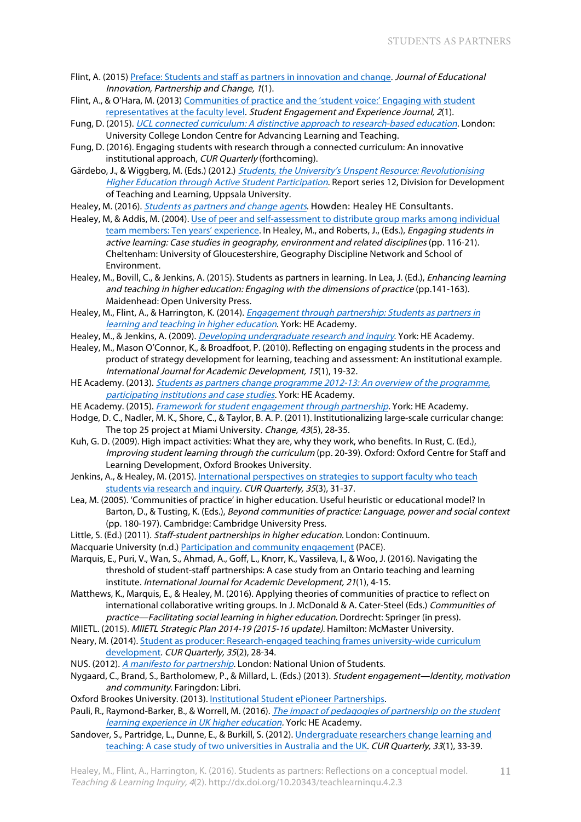- Flint, A. (2015) [Preface: Students and staff as partners in innovation and change.](https://journals.gre.ac.uk/index.php/studentchangeagents/issue/view/35) Journal of Educational Innovation, Partnership and Change, 1(1).
- Flint, A., & O'Hara, M. (2013) Communities of practice and the 'student voice:' Engaging with student representatives at the faculty level. Student Engagement and Experience Journal, 2(1).
- Fung, D. (2015). [UCL connected curriculum: A distinctive approach to research-based education.](http://www.ucl.ac.uk/teaching-learning/connected-curriculum) London: University College London Centre for Advancing Learning and Teaching.
- Fung, D. (2016). Engaging students with research through a connected curriculum: An innovative institutional approach, CUR Quarterly (forthcoming).
- Gärdebo, J., & Wiggberg, M. (Eds.) (2012.) Students, the University's Unspent Resource: Revolutionising Higher Education through Active Student Participation. Report series 12, Division for Development of Teaching and Learning, Uppsala University.
- Healey, M. (2016). [Students as partners and change agents](http://www.mickhealey.co.uk/resources). Howden: Healey HE Consultants.
- Healey, M, & Addis, M. (2004). [Use of peer and self-assessment to distribute group marks among individual](http://gdn.glos.ac.uk/active/student.htm) team members: Ten years' experience. In Healey, M., and Roberts, J., (Eds.), *Engaging students in* active learning: Case studies in geography, environment and related disciplines (pp. 116-21). Cheltenham: University of Gloucestershire, Geography Discipline Network and School of Environment.
- Healey, M., Bovill, C., & Jenkins, A. (2015). Students as partners in learning. In Lea, J. (Ed.), Enhancing learning and teaching in higher education: Engaging with the dimensions of practice (pp.141-163). Maidenhead: Open University Press.
- Healey, M., Flint, A., & Harrington, K. (2014). *Engagement through partnership: Students as partners in* learning and teaching in higher education. York: HE Academy.
- Healey, M., & Jenkins, A. (2009). *[Developing undergraduate research and inquiry](https://www.heacademy.ac.uk/node/3146)*. York: HE Academy.
- Healey, M., Mason O'Connor, K., & Broadfoot, P. (2010). Reflecting on engaging students in the process and product of strategy development for learning, teaching and assessment: An institutional example. International Journal for Academic Development, <sup>15</sup>(1), 19-32.
- HE Academy. (2013). Students as partners change programme 2012-13: An overview of the programme, [participating institutions and case studies.](https://www.heacademy.ac.uk/download/students-partners-programme-compendium-2012-13) York: HE Academy.
- HE Academy. (2015). Framework for [student engagement through partnership.](https://www.heacademy.ac.uk/enhancement/frameworks/framework-student-engagement-through-partnership) York: HE Academy.
- Hodge, D. C., Nadler, M. K., Shore, C., & Taylor, B. A. P. (2011). Institutionalizing large-scale curricular change: The top 25 project at Miami University. Change, 43(5), 28-35.
- Kuh, G. D. (2009). High impact activities: What they are, why they work, who benefits. In Rust, C. (Ed.), Improving student learning through the curriculum (pp. 20-39). Oxford: Oxford Centre for Staff and Learning Development, Oxford Brookes University.
- Jenkins, A., [& Healey, M. \(2015\). International perspectives on strategies to support faculty who teach](http://www.cur.org/assets/1/23/spring_2015_print_Jenkins_Healey.pdf) students via research and inquiry. CUR Quarterly, 35(3), 31-37.
- Lea, M. (2005). 'Communities of practice' in higher education. Useful heuristic or educational model? In Barton, D., & Tusting, K. (Eds.), Beyond communities of practice: Language, power and social context (pp. 180-197). Cambridge: Cambridge University Press.
- Little, S. (Ed.) (2011). Staff-student partnerships in higher education. London: Continuum.
- Macquarie University (n.d.) [Participation and community engagement](http://www.mq.edu.au/about_us/offices_and_units/professional_and_community_engagement/) (PACE).
- Marquis, E., Puri, V., Wan, S., Ahmad, A., Goff, L., Knorr, K., Vassileva, I., & Woo, J. (2016). Navigating the threshold of student-staff partnerships: A case study from an Ontario teaching and learning institute. International Journal for Academic Development, <sup>21</sup>(1), 4-15.
- Matthews, K., Marquis, E., & Healey, M. (2016). Applying theories of communities of practice to reflect on international collaborative writing groups. In J. McDonald & A. Cater-Steel (Eds.) Communities of practice—Facilitating social learning in higher education. Dordrecht: Springer (in press).
- MIIETL. (2015). MIIETL Strategic Plan 2014-19 (2015-16 update). Hamilton: McMaster University.
- Neary, [M. \(2014\). Student as producer: Research-engaged teaching frames university-wide curriculum](http://www.cur.org/assets/1/23/Neary.pdf)  development. CUR Quarterly, 35(2), 28-34.
- NUS. (2012). [A manifesto for partnership](http://www.nusconnect.org.uk/resources/a-manifesto-for-partnership). London: National Union of Students.
- Nygaard, C., Brand, S., Bartholomew, P., & Millard, L. (Eds.) (2013). Student engagement—Identity, motivation and community. Faringdon: Libri.
- Oxford Brookes University. (2013). [Institutional Student ePioneer Partnerships](https://wiki.brookes.ac.uk/display/instepp/Home).

Pauli, R., Raymond-Barker, B., & Worrell, M. (2016). The impact of pedagogies of partnership on the student learning experience in UK higher education. York: HE Academy.

Sandover, S., Partridge, L., Dunne, E., & Burkill, S. (2012). Undergraduate researchers change learning and [teaching: A case study of two universities in Australia and the UK.](http://www.cur.org/documents/?CategoryId=7&Keywords=undergraduate%20researchers) CUR Quarterly, <sup>33</sup>(1), 33-39.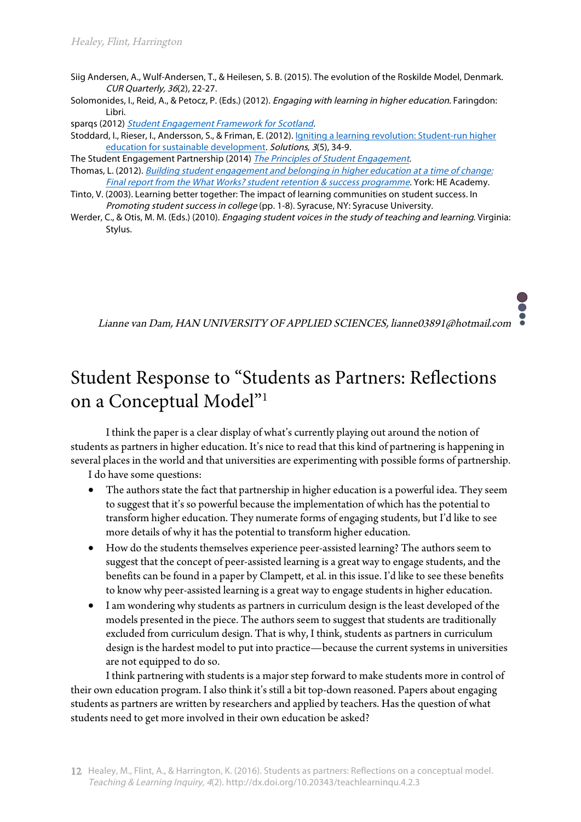- Siig Andersen, A., Wulf-Andersen, T., & Heilesen, S. B. (2015). The evolution of the Roskilde Model, Denmark. CUR Quarterly, <sup>36</sup>(2), 22-27.
- Solomonides, I., Reid, A., & Petocz, P. (Eds.) (2012). Engaging with learning in higher education. Faringdon: Libri.

sparqs (2012) Student Engagement Framework for Scotland.

- Stoddard, I., Rieser, I., Andersson, S., & Friman, E. (2012). Igniting a learning revolution: Student-run higher education for sustainable development. Solutions, <sup>3</sup>(5), 34-9.
- The Student Engagement Partnership (2014) *The Principles of Student Engagement*.
- Thomas, L. (2012). [Building student engagement and belonging in higher education at a time of change:](https://www.heacademy.ac.uk/resources/detail/what-works-student-retention/What_works_final_report)  Final report from the What Works? student retention & success programme. York: HE Academy.
- Tinto, V. (2003). Learning better together: The impact of learning communities on student success. In Promoting student success in college (pp. 1-8). Syracuse, NY: Syracuse University.
- Werder, C., & Otis, M. M. (Eds.) (2010). *Engaging student voices in the study of teaching and learning*. Virginia: Stylus.

Lianne van Dam, HAN UNIVERSITY OF APPLIED SCIENCES, lianne03891@hotmail.com

# Student Response to "Students as Partners: Reflections on a Conceptual Model"1

I think the paper is a clear display of what's currently playing out around the notion of students as partners in higher education. It's nice to read that this kind of partnering is happening in several places in the world and that universities are experimenting with possible forms of partnership.

I do have some questions:

- The authors state the fact that partnership in higher education is a powerful idea. They seem to suggest that it's so powerful because the implementation of which has the potential to transform higher education. They numerate forms of engaging students, but I'd like to see more details of why it has the potential to transform higher education.
- How do the students themselves experience peer-assisted learning? The authors seem to suggest that the concept of peer-assisted learning is a great way to engage students, and the benefits can be found in a paper by Clampett, et al. in this issue. I'd like to see these benefits to know why peer-assisted learning is a great way to engage students in higher education.
- I am wondering why students as partners in curriculum design is the least developed of the models presented in the piece. The authors seem to suggest that students are traditionally excluded from curriculum design. That is why, I think, students as partners in curriculum design is the hardest model to put into practice—because the current systems in universities are not equipped to do so.

I think partnering with students is a major step forward to make students more in control of their own education program. I also think it's still a bit top-down reasoned. Papers about engaging students as partners are written by researchers and applied by teachers. Has the question of what students need to get more involved in their own education be asked?

<sup>12</sup> Healey, M., Flint, A., & Harrington, K. (2016). Students as partners: Reflections on a conceptual model. Teaching & Learning Inquiry, 4(2). http://dx.doi.org/10.20343/teachlearninqu.4.2.3